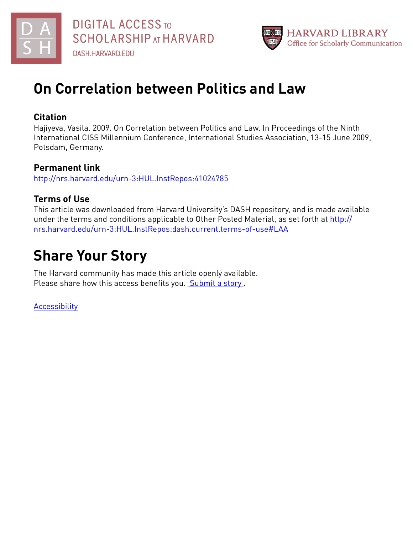



# **On Correlation between Politics and Law**

## **Citation**

Hajiyeva, Vasila. 2009. On Correlation between Politics and Law. In Proceedings of the Ninth International CISS Millennium Conference, International Studies Association, 13-15 June 2009, Potsdam, Germany.

## **Permanent link**

<http://nrs.harvard.edu/urn-3:HUL.InstRepos:41024785>

## **Terms of Use**

This article was downloaded from Harvard University's DASH repository, and is made available under the terms and conditions applicable to Other Posted Material, as set forth at [http://](http://nrs.harvard.edu/urn-3:HUL.InstRepos:dash.current.terms-of-use#LAA) [nrs.harvard.edu/urn-3:HUL.InstRepos:dash.current.terms-of-use#LAA](http://nrs.harvard.edu/urn-3:HUL.InstRepos:dash.current.terms-of-use#LAA)

# **Share Your Story**

The Harvard community has made this article openly available. Please share how this access benefits you. [Submit](http://osc.hul.harvard.edu/dash/open-access-feedback?handle=&title=On%20Correlation%20between%20Politics%20and%20Law&community=1/1&collection=1/2&owningCollection1/2&harvardAuthors=8c0d7eedf14499bc18bd38e50623286c&departmentOther%20Research%20Unit) a story .

[Accessibility](https://dash.harvard.edu/pages/accessibility)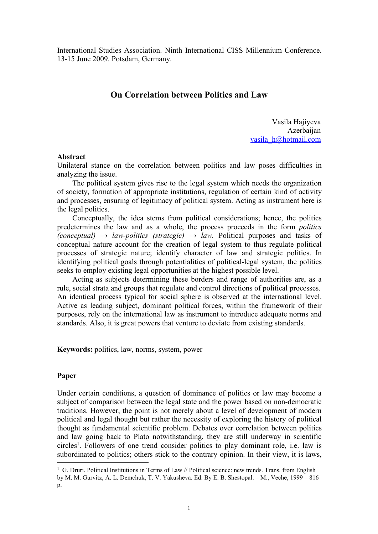International Studies Association. Ninth International CISS Millennium Conference. 13-15 June 2009. Potsdam, Germany.

### **On Correlation between Politics and Law**

Vasila Hajiyeva Azerbaijan [vasila\\_h@hotmail.com](mailto:vasila_h@hotmail.com)

#### **Abstract**

Unilateral stance on the correlation between politics and law poses difficulties in analyzing the issue.

The political system gives rise to the legal system which needs the organization of society, formation of appropriate institutions, regulation of certain kind of activity and processes, ensuring of legitimacy of political system. Acting as instrument here is the legal politics.

Conceptually, the idea stems from political considerations; hence, the politics predetermines the law and as a whole, the process proceeds in the form *politics (conceptual) → law-politics (strategic) → law.* Political purposes and tasks of conceptual nature account for the creation of legal system to thus regulate political processes of strategic nature; identify character of law and strategic politics. In identifying political goals through potentialities of political-legal system, the politics seeks to employ existing legal opportunities at the highest possible level.

Acting as subjects determining these borders and range of authorities are, as a rule, social strata and groups that regulate and control directions of political processes. An identical process typical for social sphere is observed at the international level. Active as leading subject, dominant political forces, within the framework of their purposes, rely on the international law as instrument to introduce adequate norms and standards. Also, it is great powers that venture to deviate from existing standards.

**Keywords:** politics, law, norms, system, power

#### **Paper**

Under certain conditions, a question of dominance of politics or law may become a subject of comparison between the legal state and the power based on non-democratic traditions. However, the point is not merely about a level of development of modern political and legal thought but rather the necessity of exploring the history of political thought as fundamental scientific problem. Debates over correlation between politics and law going back to Plato notwithstanding, they are still underway in scientific circles [1](#page-1-0) . Followers of one trend consider politics to play dominant role, i.e. law is subordinated to politics; others stick to the contrary opinion. In their view, it is laws,

<span id="page-1-0"></span><sup>&</sup>lt;sup>1</sup> G. Druri. Political Institutions in Terms of Law // Political science: new trends. Trans. from English by M. M. Gurvitz, A. L. Demchuk, T. V. Yakusheva. Ed. By E. B. Shestopal. – M., Veche,1999 – 816 p.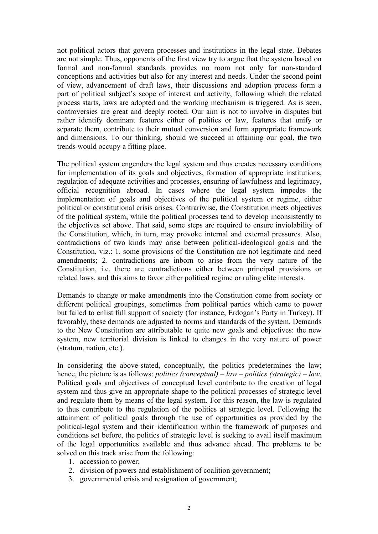not political actors that govern processes and institutions in the legal state. Debates are not simple. Thus, opponents of the first view try to argue that the system based on formal and non-formal standards provides no room not only for non-standard conceptions and activities but also for any interest and needs. Under the second point of view, advancement of draft laws, their discussions and adoption process form a part of political subject's scope of interest and activity, following which the related process starts, laws are adopted and the working mechanism is triggered. As is seen, controversies are great and deeply rooted. Our aim is not to involve in disputes but rather identify dominant features either of politics or law, features that unify or separate them, contribute to their mutual conversion and form appropriate framework and dimensions. To our thinking, should we succeed in attaining our goal, the two trends would occupy a fitting place.

The political system engenders the legal system and thus creates necessary conditions for implementation of its goals and objectives, formation of appropriate institutions, regulation of adequate activities and processes, ensuring of lawfulness and legitimacy, official recognition abroad. In cases where the legal system impedes the implementation of goals and objectives of the political system or regime, either political or constitutional crisis arises. Contrariwise, the Constitution meets objectives of the political system, while the political processes tend to develop inconsistently to the objectives set above. That said, some steps are required to ensure inviolability of the Constitution, which, in turn, may provoke internal and external pressures. Also, contradictions of two kinds may arise between political-ideological goals and the Constitution, viz.: 1. some provisions of the Constitution are not legitimate and need amendments; 2. contradictions are inborn to arise from the very nature of the Constitution, i.e. there are contradictions either between principal provisions or related laws, and this aims to favor either political regime or ruling elite interests.

Demands to change or make amendments into the Constitution come from society or different political groupings, sometimes from political parties which came to power but failed to enlist full support of society (for instance, Erdogan's Party in Turkey). If favorably, these demands are adjusted to norms and standards of the system. Demands to the New Constitution are attributable to quite new goals and objectives: the new system, new territorial division is linked to changes in the very nature of power (stratum, nation, etc.).

In considering the above-stated, conceptually, the politics predetermines the law; hence, the picture is as follows: *politics (conceptual) – law – politics (strategic) – law.* Political goals and objectives of conceptual level contribute to the creation of legal system and thus give an appropriate shape to the political processes of strategic level and regulate them by means of the legal system. For this reason, the law is regulated to thus contribute to the regulation of the politics at strategic level. Following the attainment of political goals through the use of opportunities as provided by the political-legal system and their identification within the framework of purposes and conditions set before, the politics of strategic level is seeking to avail itself maximum of the legal opportunities available and thus advance ahead. The problems to be solved on this track arise from the following:

- 1. accession to power;
- 2. division of powers and establishment of coalition government;
- 3. governmental crisis and resignation of government;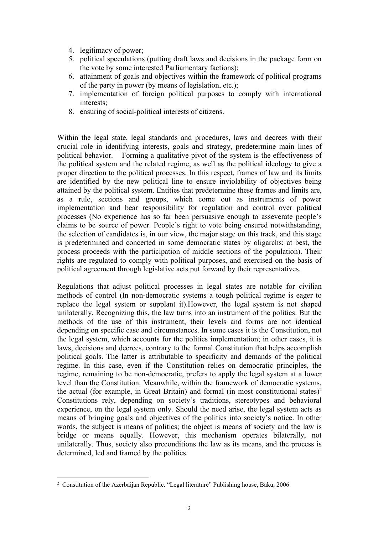- 4. legitimacy of power;
- 5. political speculations (putting draft laws and decisions in the package form on the vote by some interested Parliamentary factions);
- 6. attainment of goals and objectives within the framework of political programs of the party in power (by means of legislation, etc.);
- 7. implementation of foreign political purposes to comply with international interests;
- 8. ensuring of social-political interests of citizens.

Within the legal state, legal standards and procedures, laws and decrees with their crucial role in identifying interests, goals and strategy, predetermine main lines of political behavior. Forming a qualitative pivot of the system is the effectiveness of the political system and the related regime, as well as the political ideology to give a proper direction to the political processes. In this respect, frames of law and its limits are identified by the new political line to ensure inviolability of objectives being attained by the political system. Entities that predetermine these frames and limits are, as a rule, sections and groups, which come out as instruments of power implementation and bear responsibility for regulation and control over political processes (No experience has so far been persuasive enough to asseverate people's claims to be source of power. People's right to vote being ensured notwithstanding, the selection of candidates is, in our view, the major stage on this track, and this stage is predetermined and concerted in some democratic states by oligarchs; at best, the process proceeds with the participation of middle sections of the population). Their rights are regulated to comply with political purposes, and exercised on the basis of political agreement through legislative acts put forward by their representatives.

Regulations that adjust political processes in legal states are notable for civilian methods of control (In non-democratic systems a tough political regime is eager to replace the legal system or supplant it).However, the legal system is not shaped unilaterally. Recognizing this, the law turns into an instrument of the politics. But the methods of the use of this instrument, their levels and forms are not identical depending on specific case and circumstances. In some cases it is the Constitution, not the legal system, which accounts for the politics implementation; in other cases, it is laws, decisions and decrees, contrary to the formal Constitution that helps accomplish political goals. The latter is attributable to specificity and demands of the political regime. In this case, even if the Constitution relies on democratic principles, the regime, remaining to be non-democratic, prefers to apply the legal system at a lower level than the Constitution. Meanwhile, within the framework of democratic systems, the actual (for example, in Great Britain) and formal (in most constitutional states)<sup>2</sup> [2](#page-3-0) Constitutions rely, depending on society's traditions, stereotypes and behavioral experience, on the legal system only. Should the need arise, the legal system acts as means of bringing goals and objectives of the politics into society's notice. In other words, the subject is means of politics; the object is means of society and the law is bridge or means equally. However, this mechanism operates bilaterally, not unilaterally. Thus, society also preconditions the law as its means, and the process is determined, led and framed by the politics.

<span id="page-3-0"></span><sup>2</sup> Constitution of the Azerbaijan Republic. "Legal literature" Publishing house, Baku, 2006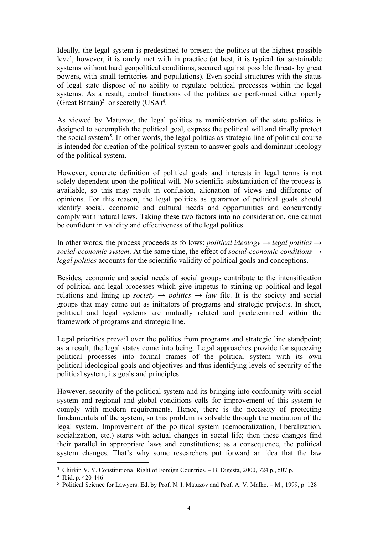Ideally, the legal system is predestined to present the politics at the highest possible level, however, it is rarely met with in practice (at best, it is typical for sustainable systems without hard geopolitical conditions, secured against possible threats by great powers, with small territories and populations). Even social structures with the status of legal state dispose of no ability to regulate political processes within the legal systems. As a result, control functions of the politics are performed either openly (Great Britain)<sup>[3](#page-4-0)</sup> or secretly  $(USA)^4$  $(USA)^4$ . .<br>1990 - Jan Jawa Barat, papa pada 1990 - 1990 - 1990 - 1990 - 1990 - 1990 - 1990 - 1990 - 1990 - 1990 - 1990 -<br>1990 - 1990 - 1990 - 1990 - 1990 - 1990 - 1990 - 1990 - 1990 - 1990 - 1990 - 1990 - 1990 - 1990 - 1990 - 1990

As viewed by Matuzov, the legal politics as manifestation of the state politics is designed to accomplish the political goal, express the political will and finally protect the social system<sup>[5](#page-4-2)</sup>. In other words, the legal politics as strategic line of political course is intended for creation of the political system to answer goals and dominant ideology of the political system.

However, concrete definition of political goals and interests in legal terms is not solely dependent upon the political will. No scientific substantiation of the process is available, so this may result in confusion, alienation of views and difference of opinions. For this reason, the legal politics as guarantor of political goals should identify social, economic and cultural needs and opportunities and concurrently comply with natural laws. Taking these two factors into no consideration, one cannot be confident in validity and effectiveness of the legal politics.

In other words, the process proceeds as follows: *political ideology*  $\rightarrow$  *legal politics*  $\rightarrow$ *social-economic system*. At the same time, the effect of *social-economic conditions → legal politics* accounts for the scientific validity of political goals and conceptions.

Besides, economic and social needs of social groups contribute to the intensification of political and legal processes which give impetus to stirring up political and legal relations and lining up *society*  $\rightarrow$  *politics*  $\rightarrow$  *law* file. It is the society and social groups that may come out as initiators of programs and strategic projects. In short, political and legal systems are mutually related and predetermined within the framework of programs and strategic line.

Legal priorities prevail over the politics from programs and strategic line standpoint; as a result, the legal states come into being. Legal approaches provide for squeezing political processes into formal frames of the political system with its own political-ideological goals and objectives and thus identifying levels of security of the political system, its goals and principles.

However, security of the political system and its bringing into conformity with social system and regional and global conditions calls for improvement of this system to comply with modern requirements. Hence, there is the necessity of protecting fundamentals of the system, so this problem is solvable through the mediation of the legal system. Improvement of the political system (democratization, liberalization, socialization, etc.) starts with actual changes in social life; then these changes find their parallel in appropriate laws and constitutions; as a consequence, the political system changes. That's why some researchers put forward an idea that the law

<span id="page-4-0"></span><sup>&</sup>lt;sup>3</sup> Chirkin V. Y. Constitutional Right of Foreign Countries. – B. Digesta, 2000, 724 p., 507 p.

<span id="page-4-1"></span><sup>4</sup> Ibid, p. 420-446

<span id="page-4-2"></span><sup>5</sup> Political Science for Lawyers. Ed. by Prof. N. I. Matuzov and Prof. A. V.Malko. – M., 1999, p. 128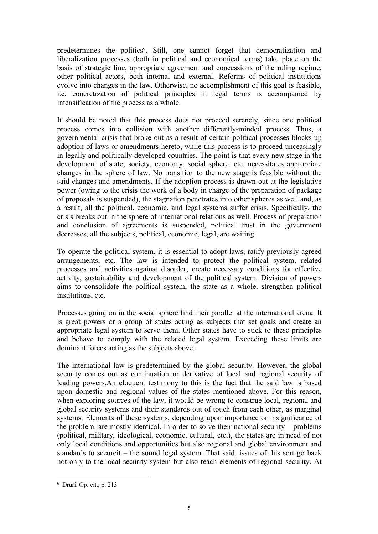predetermines the politics [6](#page-5-0) . Still, one cannot forget that democratization and liberalization processes (both in political and economical terms) take place on the basis of strategic line, appropriate agreement and concessions of the ruling regime, other political actors, both internal and external. Reforms of political institutions evolve into changes in the law. Otherwise, no accomplishment of this goal is feasible, i.e. concretization of political principles in legal terms is accompanied by intensification of the process as a whole.

It should be noted that this process does not proceed serenely, since one political process comes into collision with another differently-minded process. Thus, a governmental crisis that broke out as a result of certain political processes blocks up adoption of laws or amendments hereto, while this process is to proceed unceasingly in legally and politically developed countries. The point is that every new stage in the development of state, society, economy, social sphere, etc. necessitates appropriate changes in the sphere of law. No transition to the new stage is feasible without the said changes and amendments. If the adoption process is drawn out at the legislative power (owing to the crisis the work of a body in charge of the preparation of package of proposals is suspended), the stagnation penetrates into other spheres as well and, as a result, all the political, economic, and legal systems suffer crisis. Specifically, the crisis breaks out in the sphere of international relations as well. Process of preparation and conclusion of agreements is suspended, political trust in the government decreases, all the subjects, political, economic, legal, are waiting.

To operate the political system, it is essential to adopt laws, ratify previously agreed arrangements, etc. The law is intended to protect the political system, related processes and activities against disorder; create necessary conditions for effective activity, sustainability and development of the political system. Division of powers aims to consolidate the political system, the state as a whole, strengthen political institutions, etc.

Processes going on in the social sphere find their parallel at the international arena. It is great powers or a group of states acting as subjects that set goals and create an appropriate legal system to serve them. Other states have to stick to these principles and behave to comply with the related legal system. Exceeding these limits are dominant forces acting as the subjects above.

The international law is predetermined by the global security. However, the global security comes out as continuation or derivative of local and regional security of leading powers.An eloquent testimony to this is the fact that the said law is based upon domestic and regional values of the states mentioned above. For this reason, when exploring sources of the law, it would be wrong to construe local, regional and global security systems and their standards out of touch from each other, as marginal systems. Elements of these systems, depending upon importance or insignificance of the problem, are mostly identical. In order to solve their national security problems (political, military, ideological, economic, cultural, etc.), the states are in need of not only local conditions and opportunities but also regional and global environment and standards to secureit – the sound legal system. That said, issues of this sort go back not only to the local security system but also reach elements of regional security. At

<span id="page-5-0"></span><sup>6</sup> Druri. Op. cit., p. 213